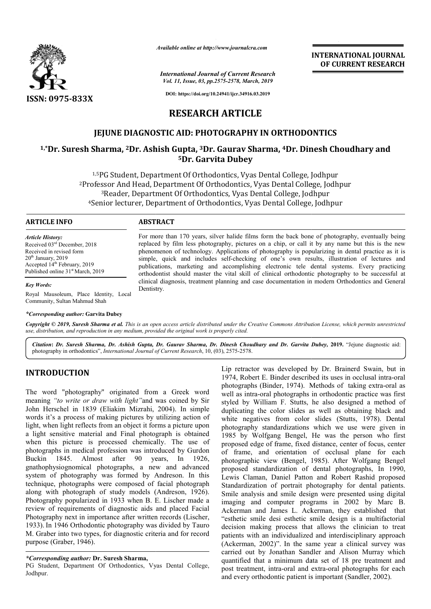

*Available online at http://www.journalcra.com*

*International Journal of Current Research Vol. 11, Issue, 03, pp.2575-2578, March, 2019*

**INTERNATIONAL JOURNAL OF CURRENT RESEARCH**

**DOI: https://doi.org/10.24941/ijcr.34916.03.2019**

# **RESEARCH ARTICLE**

# **JEJUNE DIAGNOSTIC AID: PHOTOGRAPHY IN ORTHODONTICS**

# **1,\*Dr. Suresh Sharma, 2Dr. Ashish Gupta, 3Dr. Gaurav Sharma, 4Dr. Dinesh IN ORTHODONTICSChoudhary and 5Dr. Garvita Dubey**

<sup>1,5</sup>PG Student, Department Of Orthodontics, Vyas Dental College, Jodhpur<br>ofessor And Head, Department Of Orthodontics, Vyas Dental College, Jodhpur<br><sup>3</sup>Reader, Department Of Orthodontics, Vyas Dental College, Jodhpur 2Professor And Head, Department Of Orthodontics, Vyas Dental College, Jodhpur 3Reader, Department Of Orthodontics, Vyas Dental College, Jodhpur 4Senior lecturer, Department of Orthodontics, Vyas Dental College, Jodhpur  $^{1,5}\mathrm{PG}$  Studer<br>Professor And<br> $^{3}\mathrm{Reader},$ <br> $^{4}\mathrm{Senior}$  lectu

> For more than 170 years, silver halide films form the back bone of photography, eventually being For more than 170 years, silver halide films form the back bone of photography, eventually being replaced by film less photography, pictures on a chip, or call it by any name but this is the new phenomenon of technology. Applications of photography is popularizing in dental practice as it is simple, quick and includes self-checking of one's own results, illustration of lectures and publications, marketing and accomplishing electronic tele dental systems. Every practicing orthodontist should master the vital skill of clinical orthodontic photography to be successful at clinical diagnosis, treatment planning and case documentation in modern Orthodontics and General

> simple, quick and includes self-checking of one's own results, illustration of lectures and<br>publications, marketing and accomplishing electronic tele dental systems. Every practicing<br>orthodontist should master the vital sk

#### **ARTICLE INFO ABSTRACT**

Dentistry.

*Article History:* Received 03rd December, 2018 Received in revised form 20<sup>th</sup> January, 2019 Accepted 14<sup>th</sup> February, 2019 Published online 31<sup>st</sup> March, 2019

#### *Key Words:*

Royal Mausoleum, Place Identity, Local Community, Sultan Mahmud Shah

#### *\*Corresponding author:* **Garvita Dubey**

Copyright © 2019, Suresh Sharma et al. This is an open access article distributed under the Creative Commons Attribution License, which permits unrestricted *use, distribution, and reproduction in any medium, provided the original work is properly cited.*

*Citation***:** *Dr. Suresh Sharma, Dr. Ashish Gupta, Dr. Gaurav Sharma, Dr. Dinesh Choudhary and Dr. Garvita Dubey Dubey,* **2019.** "Jejune diagnostic aid: photography in orthodontics", *International Journal of Current Research* , 10, (03), 2575-2578.

# **INTRODUCTION**

The word "photography" originated from a Greek word meaning *"to write or draw with light"*and was coined by Sir John Herschel in 1839 (Eliakim Mizrahi, 2004). In simple words it's a process of making pictures by utilizing action of light, when light reflects from an object it forms a picture upon a light sensitive material and Final photograph is obtained when this picture is processed chemically. The use of photographs in medical profession was introduced by Gurdon Buckin 1845. Almost after 90 years, In 1926, gnathophysiognomical photographs, a new and advanced system of photography was formed by Andreson. In this technique, photographs were composed of facial photograph along with photograph of study models (Andreson, 1926). Photography popularized in 1933 when B. E. Lischer made a review of requirements of diagnostic aids and placed Facial Photography next in importance after written records (Lischer, 1933). In 1946 Orthodontic photography was divided by Tauro M. Graber into two types, for diagnostic criteria and for record purpose (Graber, 1946). %, a new and advanced<br>ed by Andreson. In this<br>osed of facial photograph<br>nodels (Andreson, 1926).

PG Student, Department Of Orthodontics, Vyas Dental College, Jodhpur.

Lip retractor was developed by Dr. Brainerd Swain, but in Lip retractor was developed by Dr. Brainerd Swain, but in 1974, Robert E. Binder described its uses in occlusal intra-oral photographs (Binder, 1974). Methods of taking extra-oral as well as intra-oral photographs in orthodontic practice was first styled by William F. Stutts, he also designed a method of duplicating the color slides as well as obtaining black and white negatives from color slides (Stutts, 1978). Dental photography standardizations which we use were given in 1985 by Wolfgang Bengel, He was the person who first 1985 by Wolfgang Bengel, He was the person who first proposed edge of frame, fixed distance, center of focus, center of frame, and orientation of occlusal plane for each photographic view (Bengel, 1985). After Wolfgang Bengel proposed standardization of dental photographs, In 1990, Lewis Claman, Daniel Patton and Robert Rashid proposed proposed standardization of dental photographs, In 1990, Lewis Claman, Daniel Patton and Robert Rashid proposed<br>Standardization of portrait photography for dental patients. Smile analysis and smile design were pre presented using digital imaging and computer programs in 2002 by Marc B. Ackerman and James L. Ackerman, they established that "esthetic smile desi esthetic smile design is a multifactorial decision making process that allows the clinician to treat patients with an individualized and interdisciplinary approach (Ackerman, 2002)". In the same year a clinical survey was carried out by Jonathan Sandler and Alison Murray which quantified that a minimum data set of 18 pre treatment and post treatment, intra-oral and extra-oral photographs for each and every orthodontic patient is important (Sandler, 2002). well as intra-oral photographs in orthodontic practice was first styled by William F. Stutts, he also designed a method of duplicating the color slides as well as obtaining black and white negatives from color slides (Stut imaging and computer programs in 2002 by Marc B.<br>Ackerman and James L. Ackerman, they established that<br>"esthetic smile desi esthetic smile design is a multifactorial<br>decision making process that allows the clinician to tre

*<sup>\*</sup>Corresponding author:* **Dr. Suresh Sharma,**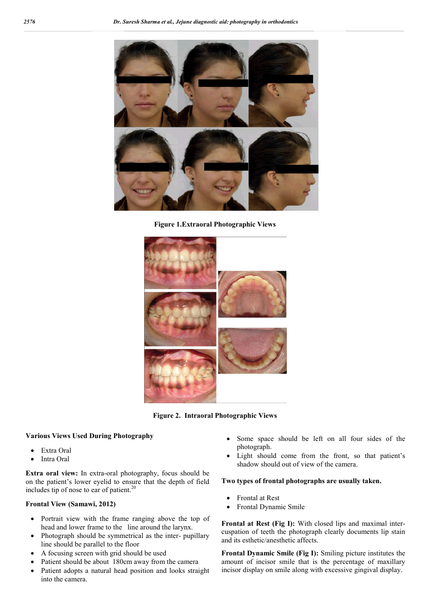

**Figure 1.Extraoral Photographic Views**



**Figure 2. Intraoral Photographic Views**

#### **Various Views Used During Photography**

- Extra Oral
- Intra Oral

**Extra oral view:** In extra-oral photography, focus should be on the patient's lower eyelid to ensure that the depth of field includes tip of nose to ear of patient.<sup>20</sup>

### **Frontal View (Samawi, 2012)**

- Portrait view with the frame ranging above the top of head and lower frame to the line around the larynx.
- Photograph should be symmetrical as the inter- pupillary line should be parallel to the floor
- A focusing screen with grid should be used
- Patient should be about 180cm away from the camera
- Patient adopts a natural head position and looks straight into the camera.
- Some space should be left on all four sides of the photograph.
- Light should come from the front, so that patient's shadow should out of view of the camera.

#### **Two types of frontal photographs are usually taken.**

- Frontal at Rest
- Frontal Dynamic Smile

**Frontal at Rest (Fig I):** With closed lips and maximal intercuspation of teeth the photograph clearly documents lip stain and its esthetic/anesthetic affects.

**Frontal Dynamic Smile (Fig I):** Smiling picture institutes the amount of incisor smile that is the percentage of maxillary incisor display on smile along with excessive gingival display.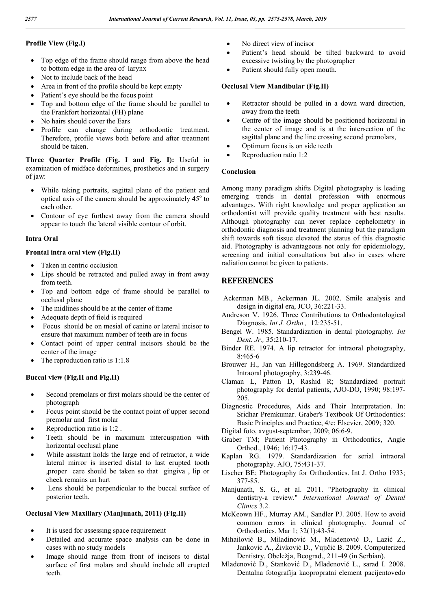## **Profile View (Fig.I)**

- Top edge of the frame should range from above the head to bottom edge in the area of larynx
- Not to include back of the head
- Area in front of the profile should be kept empty
- Patient's eye should be the focus point
- Top and bottom edge of the frame should be parallel to the Frankfort horizontal (FH) plane
- No hairs should cover the Ears
- Profile can change during orthodontic treatment. Therefore, profile views both before and after treatment should be taken.

**Three Quarter Profile (Fig. I and Fig. I):** Useful in examination of midface deformities, prosthetics and in surgery of jaw:

- While taking portraits, sagittal plane of the patient and optical axis of the camera should be approximately  $45^{\circ}$  to each other.
- Contour of eye furthest away from the camera should appear to touch the lateral visible contour of orbit.

#### **Intra Oral**

#### **Frontal intra oral view (Fig.II)**

- Taken in centric occlusion
- Lips should be retracted and pulled away in front away from teeth.
- Top and bottom edge of frame should be parallel to occlusal plane
- The midlines should be at the center of frame
- Adequate depth of field is required
- Focus should be on mesial of canine or lateral incisor to ensure that maximum number of teeth are in focus
- Contact point of upper central incisors should be the center of the image
- The reproduction ratio is 1:1.8

#### **Buccal view (Fig.II and Fig.II)**

- Second premolars or first molars should be the center of photograph
- Focus point should be the contact point of upper second premolar and first molar
- Reproduction ratio is 1:2 .
- Teeth should be in maximum intercuspation with horizontal occlusal plane
- While assistant holds the large end of retractor, a wide lateral mirror is inserted distal to last erupted tooth ,proper care should be taken so that gingiva , lip or cheek remains un hurt
- Lens should be perpendicular to the buccal surface of posterior teeth.

#### **Occlusal View Maxillary (Manjunath, 2011) (Fig.II)**

- It is used for assessing space requirement
- Detailed and accurate space analysis can be done in cases with no study models
- Image should range from front of incisors to distal surface of first molars and should include all erupted teeth.
- No direct view of incisor
- Patient's head should be tilted backward to avoid excessive twisting by the photographer
- Patient should fully open mouth.

#### **Occlusal View Mandibular (Fig.II)**

- Retractor should be pulled in a down ward direction, away from the teeth
- Centre of the image should be positioned horizontal in the center of image and is at the intersection of the sagittal plane and the line crossing second premolars,
- Optimum focus is on side teeth
- Reproduction ratio 1:2

#### **Conclusion**

Among many paradigm shifts Digital photography is leading emerging trends in dental profession with enormous advantages. With right knowledge and proper application an orthodontist will provide quality treatment with best results. Although photography can never replace cephelometry in orthodontic diagnosis and treatment planning but the paradigm shift towards soft tissue elevated the status of this diagnostic aid. Photography is advantageous not only for epidemiology, screening and initial consultations but also in cases where radiation cannot be given to patients.

# **REFERENCES**

- Ackerman MB., Ackerman JL. 2002. Smile analysis and design in digital era, JCO, 36:221-33.
- Andreson V. 1926. Three Contributions to Orthodontological Diagnosis. *Int J. Ortho.,* 12:235-51.
- Bengel W. 1985. Standardization in dental photography. *Int Dent. Jr.,* 35:210-17.
- Binder RE. 1974. A lip retractor for intraoral photography, 8:465-6
- Brouwer H., Jan van Hillegondsberg A. 1969. Standardized Intraoral photography, 3:239-46.
- Claman L, Patton D, Rashid R; Standardized portrait photography for dental patients, AJO-DO, 1990; 98:197- 205.
- Diagnostic Procedures, Aids and Their Interpretation. In: Sridhar Premkumar. Graber's Textbook Of Orthodontics: Basic Principles and Practice, 4/e: Elsevier, 2009; 320.
- Digital foto, avgust-septembar, 2009; 06:6-9.
- Graber TM; Patient Photography in Orthodontics, Angle Orthod., 1946; 16:17-43.
- Kaplan RG. 1979. Standardization for serial intraoral photography. AJO, 75:431-37.
- Lischer BE; Photography for Orthodontics. Int J. Ortho 1933; 377-85.
- Manjunath, S. G., et al. 2011. "Photography in clinical dentistry-a review." *International Journal of Dental Clinics* 3.2.
- McKeown HF., Murray AM., Sandler PJ. 2005. How to avoid common errors in clinical photography. Journal of Orthodontics. Mar 1; 32(1):43-54.
- Mihailović B., Miladinović M., Mladenović D., Lazić Z., Janković A., Živković D., Vujičić B. 2009. Computerized Dentistry. Obeležja, Beograd., 211-49 (in Serbian).
- Mladenović D., Stanković D., Mladenović L., sarad I. 2008. Dentalna fotografija kaopropratni element pacijentovedo